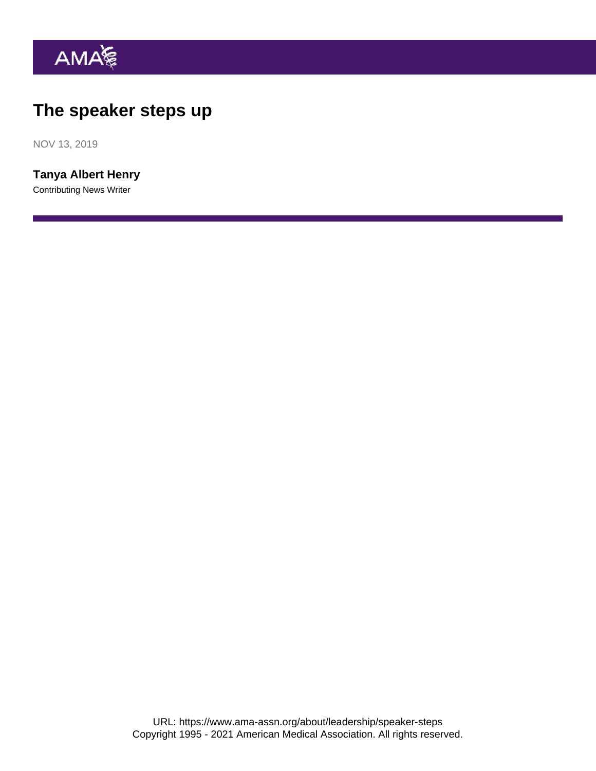# The speaker steps up

NOV 13, 2019

[Tanya Albert Henry](https://www.ama-assn.org/news-leadership-viewpoints/authors-news-leadership-viewpoints/tanya-albert-henry) Contributing News Writer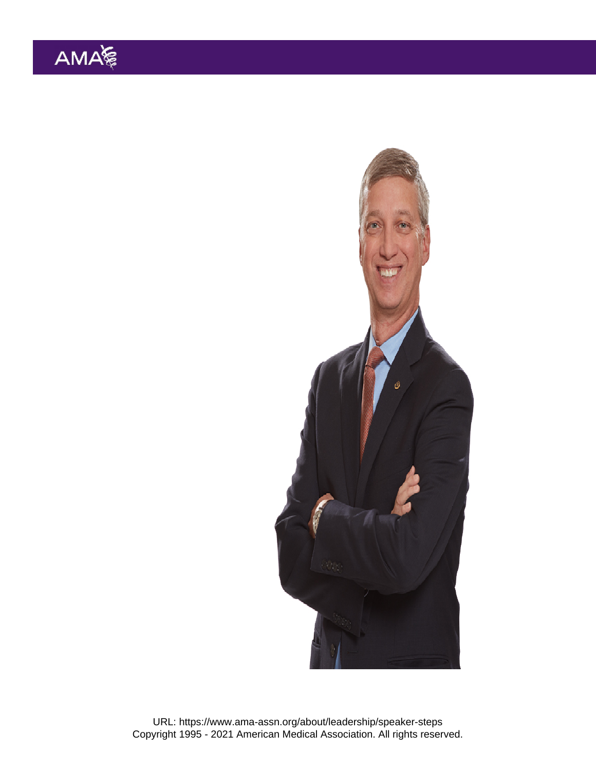URL:<https://www.ama-assn.org/about/leadership/speaker-steps> Copyright 1995 - 2021 American Medical Association. All rights reserved.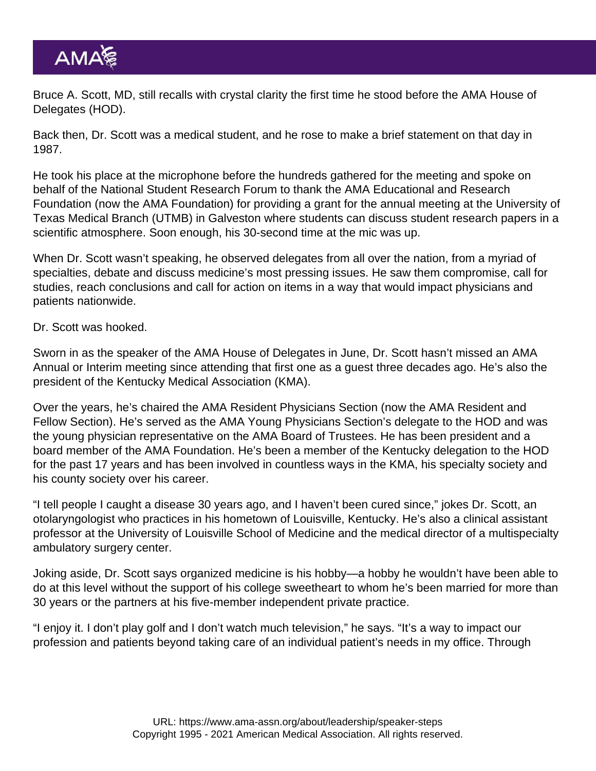Bruce A. Scott, MD, still recalls with crystal clarity the first time he stood before the AMA House of Delegates (HOD).

Back then, Dr. Scott was a medical student, and he rose to make a brief statement on that day in 1987.

He took his place at the microphone before the hundreds gathered for the meeting and spoke on behalf of the National Student Research Forum to thank the AMA Educational and Research Foundation (now the AMA Foundation) for providing a grant for the annual meeting at the University of Texas Medical Branch (UTMB) in Galveston where students can discuss student research papers in a scientific atmosphere. Soon enough, his 30-second time at the mic was up.

When Dr. Scott wasn't speaking, he observed delegates from all over the nation, from a myriad of specialties, debate and discuss medicine's most pressing issues. He saw them compromise, call for studies, reach conclusions and call for action on items in a way that would impact physicians and patients nationwide.

Dr. Scott was hooked.

Sworn in as the speaker of the AMA House of Delegates in June, Dr. Scott hasn't missed an AMA Annual or Interim meeting since attending that first one as a guest three decades ago. He's also the president of the Kentucky Medical Association (KMA).

Over the years, he's chaired the AMA Resident Physicians Section (now the AMA Resident and Fellow Section). He's served as the AMA Young Physicians Section's delegate to the HOD and was the young physician representative on the AMA Board of Trustees. He has been president and a board member of the AMA Foundation. He's been a member of the Kentucky delegation to the HOD for the past 17 years and has been involved in countless ways in the KMA, his specialty society and his county society over his career.

"I tell people I caught a disease 30 years ago, and I haven't been cured since," jokes Dr. Scott, an otolaryngologist who practices in his hometown of Louisville, Kentucky. He's also a clinical assistant professor at the University of Louisville School of Medicine and the medical director of a multispecialty ambulatory surgery center.

Joking aside, Dr. Scott says organized medicine is his hobby—a hobby he wouldn't have been able to do at this level without the support of his college sweetheart to whom he's been married for more than 30 years or the partners at his five-member independent private practice.

"I enjoy it. I don't play golf and I don't watch much television," he says. "It's a way to impact our profession and patients beyond taking care of an individual patient's needs in my office. Through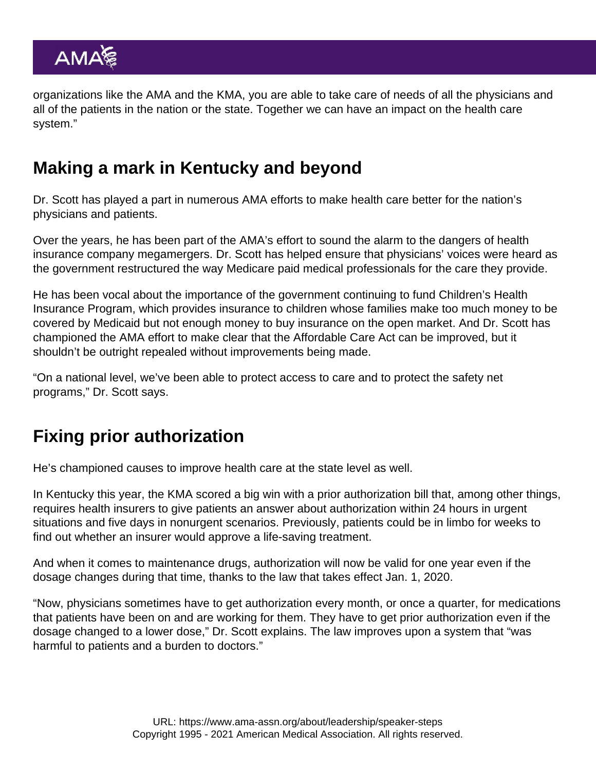organizations like the AMA and the KMA, you are able to take care of needs of all the physicians and all of the patients in the nation or the state. Together we can have an impact on the health care system."

## Making a mark in Kentucky and beyond

Dr. Scott has played a part in numerous AMA efforts to make health care better for the nation's physicians and patients.

Over the years, he has been part of the AMA's effort to sound the alarm to the dangers of health insurance company megamergers. Dr. Scott has helped ensure that physicians' voices were heard as the government restructured the way Medicare paid medical professionals for the care they provide.

He has been vocal about the importance of the government continuing to fund Children's Health Insurance Program, which provides insurance to children whose families make too much money to be covered by Medicaid but not enough money to buy insurance on the open market. And Dr. Scott has championed the AMA effort to make clear that the Affordable Care Act can be improved, but it shouldn't be outright repealed without improvements being made.

"On a national level, we've been able to protect access to care and to protect the safety net programs," Dr. Scott says.

## Fixing prior authorization

He's championed causes to improve health care at the state level as well.

In Kentucky this year, the KMA scored a big win with a prior authorization bill that, among other things, requires health insurers to give patients an answer about authorization within 24 hours in urgent situations and five days in nonurgent scenarios. Previously, patients could be in limbo for weeks to find out whether an insurer would approve a life-saving treatment.

And when it comes to maintenance drugs, authorization will now be valid for one year even if the dosage changes during that time, thanks to the law that takes effect Jan. 1, 2020.

"Now, physicians sometimes have to get authorization every month, or once a quarter, for medications that patients have been on and are working for them. They have to get prior authorization even if the dosage changed to a lower dose," Dr. Scott explains. The law improves upon a system that "was harmful to patients and a burden to doctors."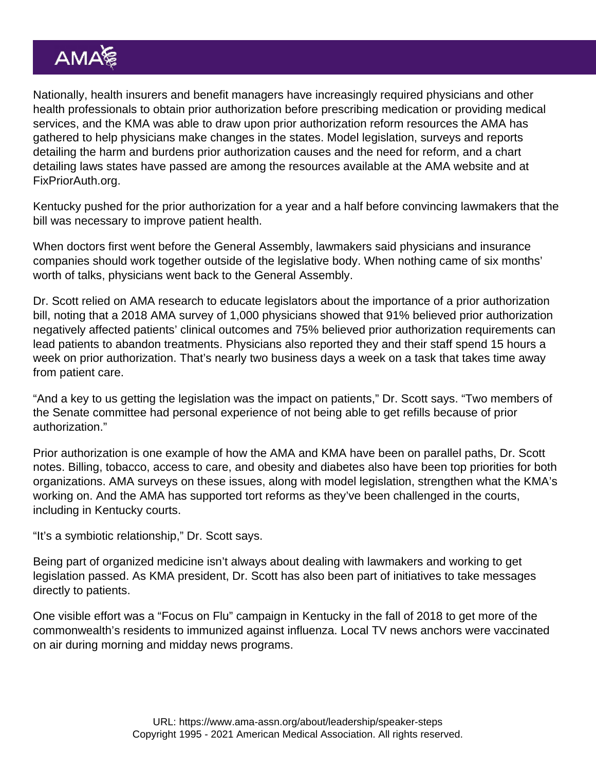Nationally, health insurers and benefit managers have increasingly required physicians and other health professionals to obtain prior authorization before prescribing medication or providing medical services, and the KMA was able to draw upon prior authorization [reform resources](https://www.ama-assn.org/practice-management/sustainability/prior-authorization-reform-resources) the AMA has gathered to help physicians make changes in the states. Model legislation, surveys and reports detailing the harm and burdens prior authorization causes and the need for reform, and a chart detailing laws states have passed are among the resources available at the AMA website and at [FixPriorAuth.org.](https://fixpriorauth.org/)

Kentucky pushed for the prior authorization for a year and a half before convincing lawmakers that the bill was necessary to improve patient health.

When doctors first went before the General Assembly, lawmakers said physicians and insurance companies should work together outside of the legislative body. When nothing came of six months' worth of talks, physicians went back to the General Assembly.

Dr. Scott relied on AMA research to educate legislators about the importance of a prior authorization bill, noting that a 2018 AMA survey of 1,000 physicians showed that 91% believed prior authorization negatively affected patients' clinical outcomes and 75% believed prior authorization requirements can lead patients to abandon treatments. Physicians also reported they and their staff spend 15 hours a week on prior authorization. That's nearly two business days a week on a task that takes time away from patient care.

"And a key to us getting the legislation was the impact on patients," Dr. Scott says. "Two members of the Senate committee had personal experience of not being able to get refills because of prior authorization."

Prior authorization is one example of how the AMA and KMA have been on parallel paths, Dr. Scott notes. Billing, tobacco, access to care, and obesity and diabetes also have been top priorities for both organizations. AMA surveys on these issues, along with model legislation, strengthen what the KMA's working on. And the AMA has supported tort reforms as they've been challenged in the courts, including in Kentucky courts.

"It's a symbiotic relationship," Dr. Scott says.

Being part of organized medicine isn't always about dealing with lawmakers and working to get legislation passed. As KMA president, Dr. Scott has also been part of initiatives to take messages directly to patients.

One visible effort was a "Focus on Flu" campaign in Kentucky in the fall of 2018 to get more of the commonwealth's residents to immunized against influenza. Local TV news anchors were vaccinated on air during morning and midday news programs.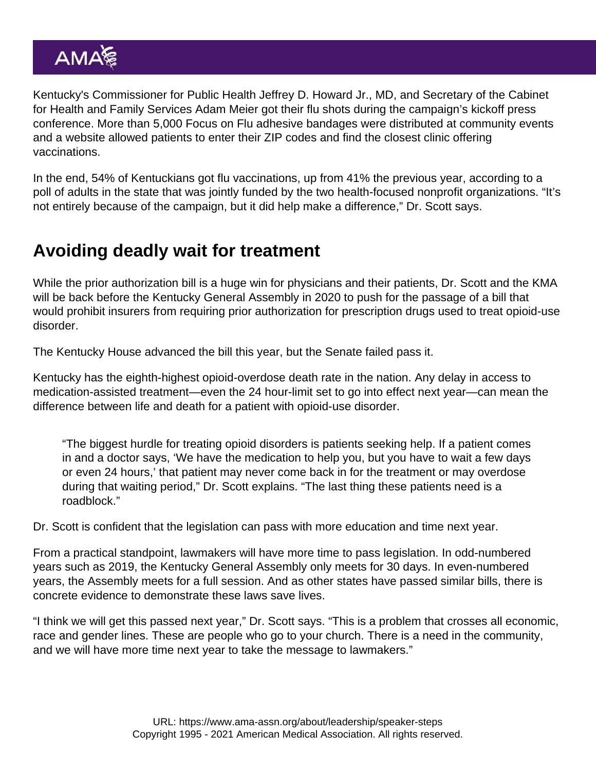Kentucky's Commissioner for Public Health Jeffrey D. Howard Jr., MD, and Secretary of the Cabinet for Health and Family Services Adam Meier got their flu shots during the campaign's kickoff press conference. More than 5,000 Focus on Flu adhesive bandages were distributed at community events and a website allowed patients to enter their ZIP codes and find the closest clinic offering vaccinations.

In the end, 54% of Kentuckians got flu vaccinations, up from 41% the previous year, according to a poll of adults in the state that was jointly funded by the two health-focused nonprofit organizations. "It's not entirely because of the campaign, but it did help make a difference," Dr. Scott says.

## Avoiding deadly wait for treatment

While the prior authorization bill is a huge win for physicians and their patients, Dr. Scott and the KMA will be back before the Kentucky General Assembly in 2020 to push for the passage of a bill that would prohibit insurers from requiring prior authorization for prescription drugs used to treat opioid-use disorder.

The Kentucky House advanced the bill this year, but the Senate failed pass it.

Kentucky has the eighth-highest opioid-overdose death rate in the nation. Any delay in access to medication-assisted treatment—even the 24 hour-limit set to go into effect next year—can mean the difference between life and death for a patient with opioid-use disorder.

"The biggest hurdle for treating opioid disorders is patients seeking help. If a patient comes in and a doctor says, 'We have the medication to help you, but you have to wait a few days or even 24 hours,' that patient may never come back in for the treatment or may overdose during that waiting period," Dr. Scott explains. "The last thing these patients need is a roadblock."

Dr. Scott is confident that the legislation can pass with more education and time next year.

From a practical standpoint, lawmakers will have more time to pass legislation. In odd-numbered years such as 2019, the Kentucky General Assembly only meets for 30 days. In even-numbered years, the Assembly meets for a full session. And as other states have passed similar bills, there is concrete evidence to demonstrate these laws save lives.

"I think we will get this passed next year," Dr. Scott says. "This is a problem that crosses all economic, race and gender lines. These are people who go to your church. There is a need in the community, and we will have more time next year to take the message to lawmakers."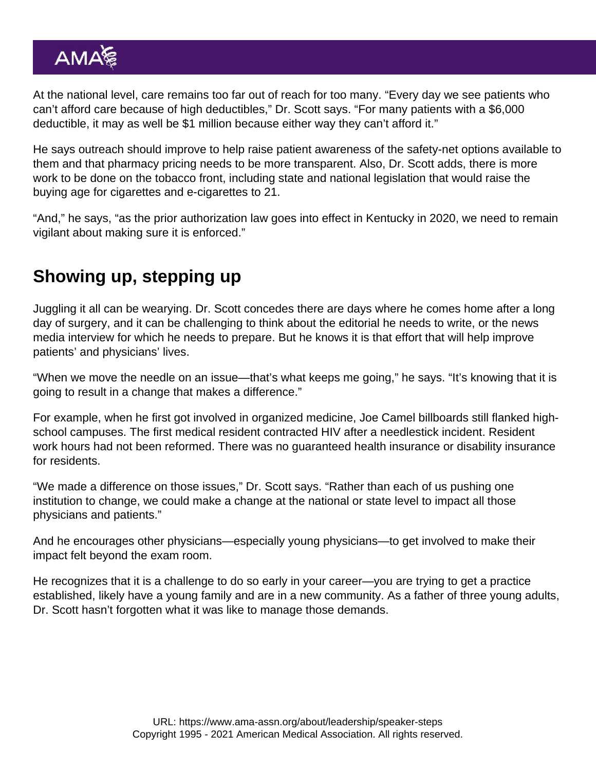At the national level, care remains too far out of reach for too many. "Every day we see patients who can't afford care because of high deductibles," Dr. Scott says. "For many patients with a \$6,000 deductible, it may as well be \$1 million because either way they can't afford it."

He says outreach should improve to help raise patient awareness of the safety-net options available to them and that pharmacy pricing needs to be more transparent. Also, Dr. Scott adds, there is more work to be done on the tobacco front, including state and national legislation that would raise the buying age for cigarettes and e-cigarettes to 21.

"And," he says, "as the prior authorization law goes into effect in Kentucky in 2020, we need to remain vigilant about making sure it is enforced."

# Showing up, stepping up

Juggling it all can be wearying. Dr. Scott concedes there are days where he comes home after a long day of surgery, and it can be challenging to think about the editorial he needs to write, or the news media interview for which he needs to prepare. But he knows it is that effort that will help improve patients' and physicians' lives.

"When we move the needle on an issue—that's what keeps me going," he says. "It's knowing that it is going to result in a change that makes a difference."

For example, when he first got involved in organized medicine, Joe Camel billboards still flanked highschool campuses. The first medical resident contracted HIV after a needlestick incident. Resident work hours had not been reformed. There was no guaranteed health insurance or disability insurance for residents.

"We made a difference on those issues," Dr. Scott says. "Rather than each of us pushing one institution to change, we could make a change at the national or state level to impact all those physicians and patients."

And he encourages other physicians—especially young physicians—to get involved to make their impact felt beyond the exam room.

He recognizes that it is a challenge to do so early in your career—you are trying to get a practice established, likely have a young family and are in a new community. As a father of three young adults, Dr. Scott hasn't forgotten what it was like to manage those demands.